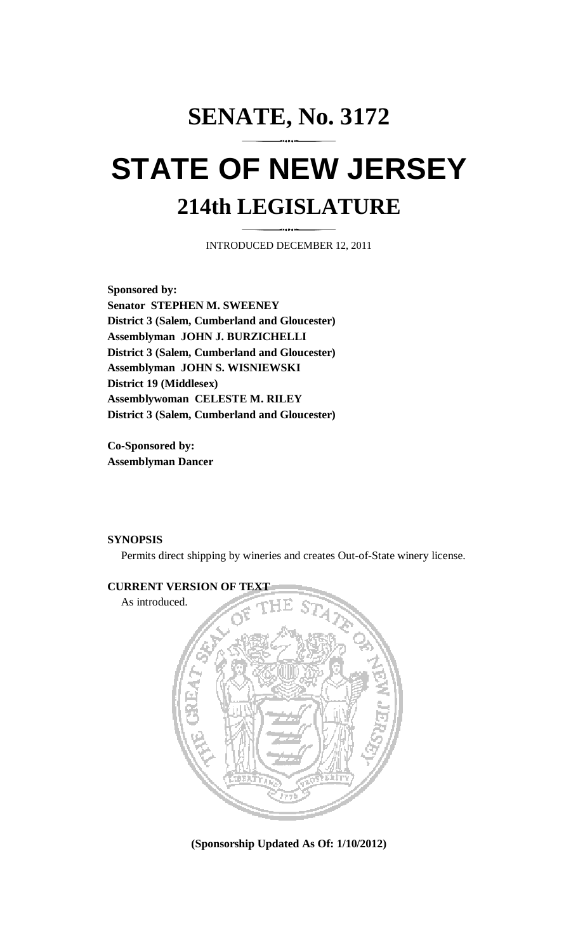# **SENATE, No. 3172 STATE OF NEW JERSEY 214th LEGISLATURE**

INTRODUCED DECEMBER 12, 2011

**Sponsored by: Senator STEPHEN M. SWEENEY District 3 (Salem, Cumberland and Gloucester) Assemblyman JOHN J. BURZICHELLI District 3 (Salem, Cumberland and Gloucester) Assemblyman JOHN S. WISNIEWSKI District 19 (Middlesex) Assemblywoman CELESTE M. RILEY District 3 (Salem, Cumberland and Gloucester)** 

**Co-Sponsored by: Assemblyman Dancer** 

## **SYNOPSIS**

Permits direct shipping by wineries and creates Out-of-State winery license.



**(Sponsorship Updated As Of: 1/10/2012)**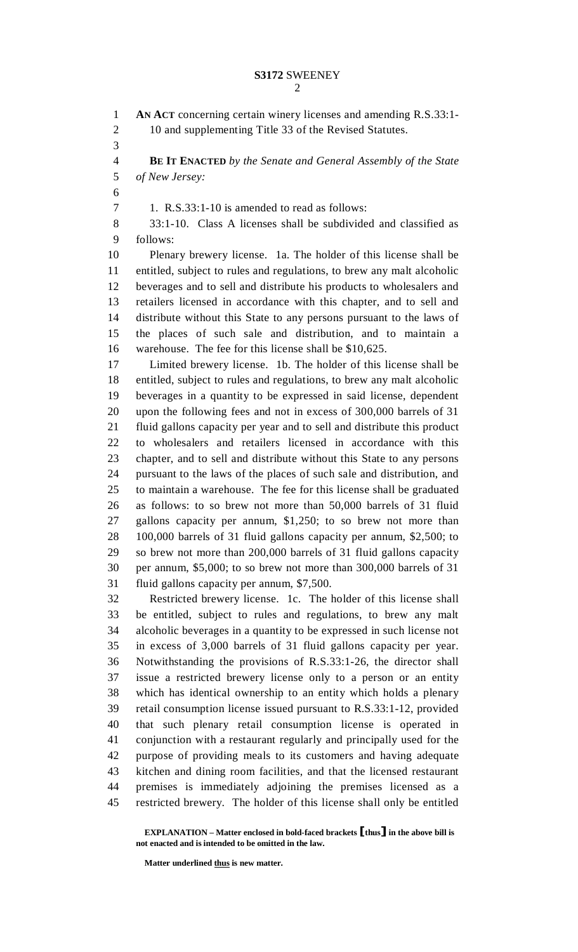1 **AN ACT** concerning certain winery licenses and amending R.S.33:1- 2 10 and supplementing Title 33 of the Revised Statutes. 3 4 **BE IT ENACTED** *by the Senate and General Assembly of the State*  5 *of New Jersey:* 6 7 1. R.S.33:1-10 is amended to read as follows: 8 33:1-10. Class A licenses shall be subdivided and classified as 9 follows: 10 Plenary brewery license. 1a. The holder of this license shall be 11 entitled, subject to rules and regulations, to brew any malt alcoholic 12 beverages and to sell and distribute his products to wholesalers and 13 retailers licensed in accordance with this chapter, and to sell and 14 distribute without this State to any persons pursuant to the laws of 15 the places of such sale and distribution, and to maintain a 16 warehouse. The fee for this license shall be \$10,625. 17 Limited brewery license. 1b. The holder of this license shall be 18 entitled, subject to rules and regulations, to brew any malt alcoholic 19 beverages in a quantity to be expressed in said license, dependent 20 upon the following fees and not in excess of 300,000 barrels of 31 21 fluid gallons capacity per year and to sell and distribute this product 22 to wholesalers and retailers licensed in accordance with this 23 chapter, and to sell and distribute without this State to any persons 24 pursuant to the laws of the places of such sale and distribution, and 25 to maintain a warehouse. The fee for this license shall be graduated 26 as follows: to so brew not more than 50,000 barrels of 31 fluid 27 gallons capacity per annum, \$1,250; to so brew not more than 28 100,000 barrels of 31 fluid gallons capacity per annum, \$2,500; to 29 so brew not more than 200,000 barrels of 31 fluid gallons capacity 30 per annum, \$5,000; to so brew not more than 300,000 barrels of 31 31 fluid gallons capacity per annum, \$7,500. 32 Restricted brewery license. 1c. The holder of this license shall 33 be entitled, subject to rules and regulations, to brew any malt 34 alcoholic beverages in a quantity to be expressed in such license not 35 in excess of 3,000 barrels of 31 fluid gallons capacity per year. 36 Notwithstanding the provisions of R.S.33:1-26, the director shall 37 issue a restricted brewery license only to a person or an entity 38 which has identical ownership to an entity which holds a plenary 39 retail consumption license issued pursuant to R.S.33:1-12, provided 40 that such plenary retail consumption license is operated in 41 conjunction with a restaurant regularly and principally used for the 42 purpose of providing meals to its customers and having adequate 43 kitchen and dining room facilities, and that the licensed restaurant 44 premises is immediately adjoining the premises licensed as a

 **EXPLANATION – Matter enclosed in bold-faced brackets** [**thus**] **in the above bill is not enacted and is intended to be omitted in the law.** 

45 restricted brewery. The holder of this license shall only be entitled

 **Matter underlined thus is new matter.**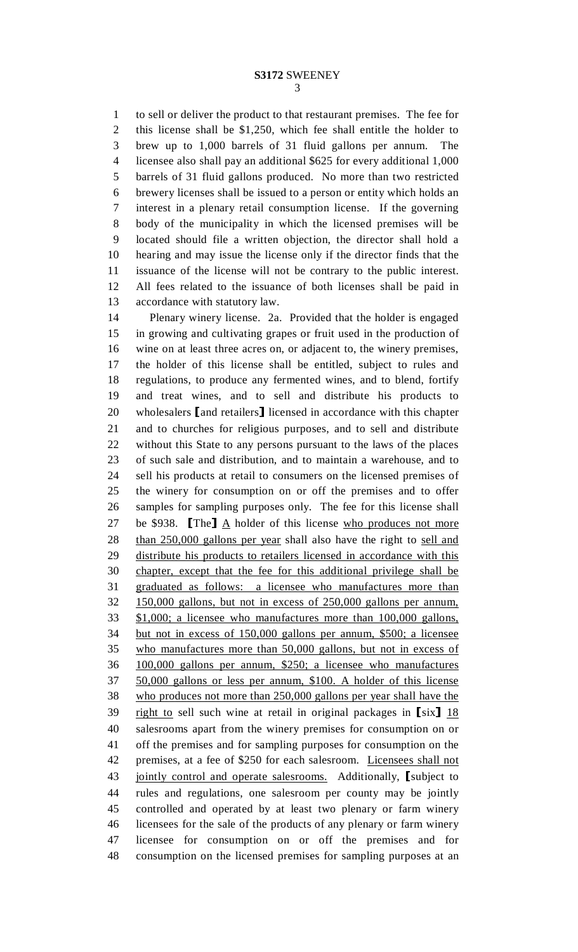1 to sell or deliver the product to that restaurant premises. The fee for 2 this license shall be \$1,250, which fee shall entitle the holder to 3 brew up to 1,000 barrels of 31 fluid gallons per annum. The 4 licensee also shall pay an additional \$625 for every additional 1,000 5 barrels of 31 fluid gallons produced. No more than two restricted 6 brewery licenses shall be issued to a person or entity which holds an 7 interest in a plenary retail consumption license. If the governing 8 body of the municipality in which the licensed premises will be 9 located should file a written objection, the director shall hold a 10 hearing and may issue the license only if the director finds that the 11 issuance of the license will not be contrary to the public interest. 12 All fees related to the issuance of both licenses shall be paid in 13 accordance with statutory law.

14 Plenary winery license. 2a. Provided that the holder is engaged 15 in growing and cultivating grapes or fruit used in the production of 16 wine on at least three acres on, or adjacent to, the winery premises, 17 the holder of this license shall be entitled, subject to rules and 18 regulations, to produce any fermented wines, and to blend, fortify 19 and treat wines, and to sell and distribute his products to 20 wholesalers [and retailers] licensed in accordance with this chapter 21 and to churches for religious purposes, and to sell and distribute and to churches for religious purposes, and to sell and distribute 22 without this State to any persons pursuant to the laws of the places 23 of such sale and distribution, and to maintain a warehouse, and to 24 sell his products at retail to consumers on the licensed premises of 25 the winery for consumption on or off the premises and to offer 26 samples for sampling purposes only. The fee for this license shall 27 be \$938. **[The]**  $\underline{A}$  holder of this license who produces not more<br>28 than 250,000 gallons per year shall also have the right to sell and 28 than 250,000 gallons per year shall also have the right to sell and 29 distribute his products to retailers licensed in accordance with this 30 chapter, except that the fee for this additional privilege shall be 31 graduated as follows: a licensee who manufactures more than 32 150,000 gallons, but not in excess of 250,000 gallons per annum, 33 \$1,000; a licensee who manufactures more than 100,000 gallons, 34 but not in excess of 150,000 gallons per annum, \$500; a licensee 35 who manufactures more than 50,000 gallons, but not in excess of 36 100,000 gallons per annum, \$250; a licensee who manufactures 37 50,000 gallons or less per annum, \$100. A holder of this license 38 who produces not more than 250,000 gallons per year shall have the  $\frac{39}{18}$  right to sell such wine at retail in original packages in [six]  $\frac{18}{18}$ <br>40 salesrooms apart from the winery premises for consumption on or salesrooms apart from the winery premises for consumption on or 41 off the premises and for sampling purposes for consumption on the 42 premises, at a fee of \$250 for each salesroom. Licensees shall not 43 jointly control and operate salesrooms. Additionally, [subject to 44 rules and regulations, one salesroom per county may be jointly rules and regulations, one salesroom per county may be jointly 45 controlled and operated by at least two plenary or farm winery 46 licensees for the sale of the products of any plenary or farm winery 47 licensee for consumption on or off the premises and for 48 consumption on the licensed premises for sampling purposes at an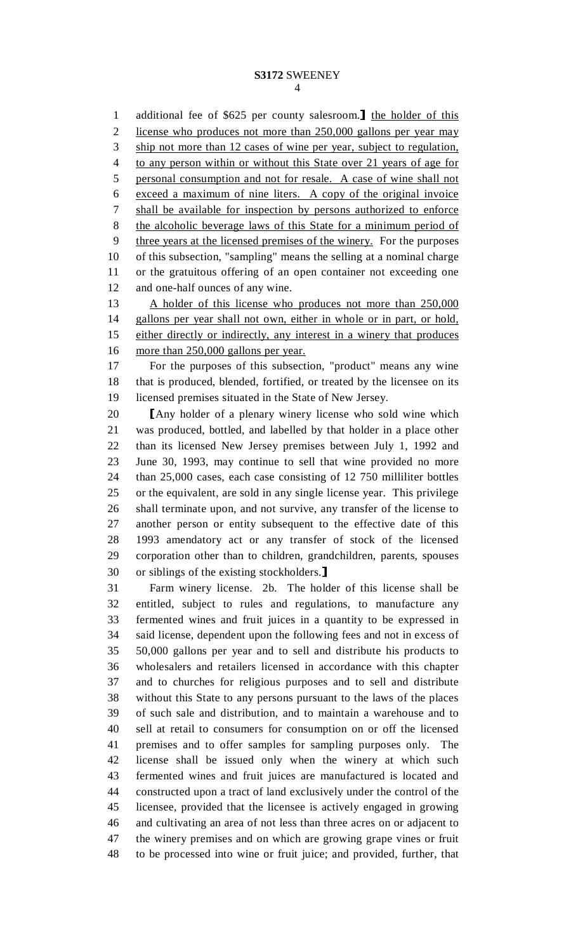#### **S3172** SWEENEY 4

1 additional fee of \$625 per county salesroom.<br>2 license who produces not more than 250,000 gallons per year may license who produces not more than 250,000 gallons per year may 3 ship not more than 12 cases of wine per year, subject to regulation, 4 to any person within or without this State over 21 years of age for 5 personal consumption and not for resale. A case of wine shall not 6 exceed a maximum of nine liters. A copy of the original invoice 7 shall be available for inspection by persons authorized to enforce 8 the alcoholic beverage laws of this State for a minimum period of 9 three years at the licensed premises of the winery. For the purposes 10 of this subsection, "sampling" means the selling at a nominal charge 11 or the gratuitous offering of an open container not exceeding one 12 and one-half ounces of any wine.

13 A holder of this license who produces not more than 250,000 14 gallons per year shall not own, either in whole or in part, or hold, 15 either directly or indirectly, any interest in a winery that produces 16 more than 250,000 gallons per year.

17 For the purposes of this subsection, "product" means any wine 18 that is produced, blended, fortified, or treated by the licensee on its 19 licensed premises situated in the State of New Jersey.

20 [Any holder of a plenary winery license who sold wine which<br>21 was produced, bottled, and labelled by that holder in a place other was produced, bottled, and labelled by that holder in a place other 22 than its licensed New Jersey premises between July 1, 1992 and 23 June 30, 1993, may continue to sell that wine provided no more 24 than 25,000 cases, each case consisting of 12 750 milliliter bottles 25 or the equivalent, are sold in any single license year. This privilege 26 shall terminate upon, and not survive, any transfer of the license to 27 another person or entity subsequent to the effective date of this 28 1993 amendatory act or any transfer of stock of the licensed 29 corporation other than to children, grandchildren, parents, spouses 30 or siblings of the existing stockholders.<br>31 Farm winery license. 2b. The hold

Farm winery license. 2b. The holder of this license shall be 32 entitled, subject to rules and regulations, to manufacture any 33 fermented wines and fruit juices in a quantity to be expressed in 34 said license, dependent upon the following fees and not in excess of 35 50,000 gallons per year and to sell and distribute his products to 36 wholesalers and retailers licensed in accordance with this chapter 37 and to churches for religious purposes and to sell and distribute 38 without this State to any persons pursuant to the laws of the places 39 of such sale and distribution, and to maintain a warehouse and to 40 sell at retail to consumers for consumption on or off the licensed 41 premises and to offer samples for sampling purposes only. The 42 license shall be issued only when the winery at which such 43 fermented wines and fruit juices are manufactured is located and 44 constructed upon a tract of land exclusively under the control of the 45 licensee, provided that the licensee is actively engaged in growing 46 and cultivating an area of not less than three acres on or adjacent to 47 the winery premises and on which are growing grape vines or fruit 48 to be processed into wine or fruit juice; and provided, further, that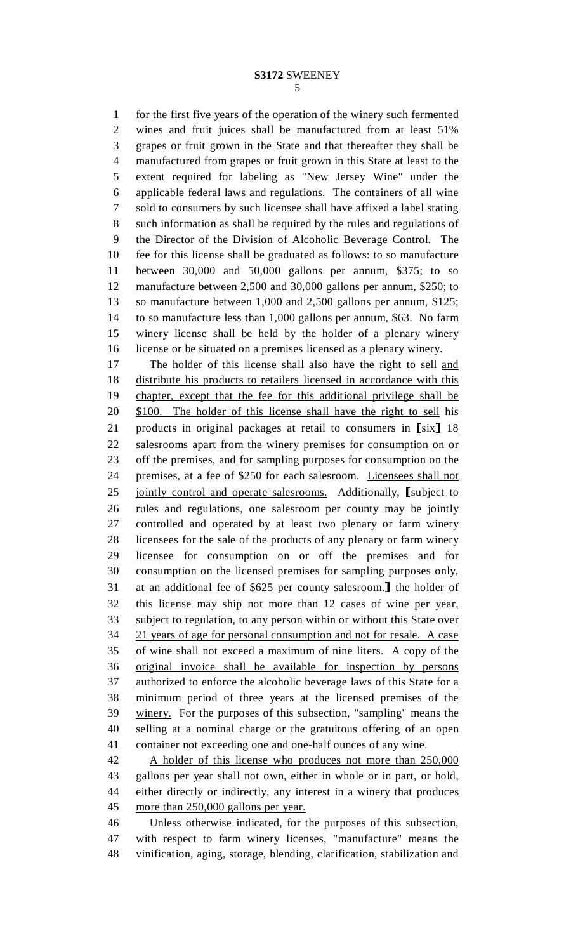1 for the first five years of the operation of the winery such fermented 2 wines and fruit juices shall be manufactured from at least 51% 3 grapes or fruit grown in the State and that thereafter they shall be 4 manufactured from grapes or fruit grown in this State at least to the 5 extent required for labeling as "New Jersey Wine" under the 6 applicable federal laws and regulations. The containers of all wine 7 sold to consumers by such licensee shall have affixed a label stating 8 such information as shall be required by the rules and regulations of 9 the Director of the Division of Alcoholic Beverage Control. The 10 fee for this license shall be graduated as follows: to so manufacture 11 between 30,000 and 50,000 gallons per annum, \$375; to so 12 manufacture between 2,500 and 30,000 gallons per annum, \$250; to 13 so manufacture between 1,000 and 2,500 gallons per annum, \$125; 14 to so manufacture less than 1,000 gallons per annum, \$63. No farm 15 winery license shall be held by the holder of a plenary winery 16 license or be situated on a premises licensed as a plenary winery.

17 The holder of this license shall also have the right to sell and 18 distribute his products to retailers licensed in accordance with this 19 chapter, except that the fee for this additional privilege shall be 20 \$100. The holder of this license shall have the right to sell his 21 products in original packages at retail to consumers in  $[six]$  18<br>22 salesrooms apart from the winery premises for consumption on or salesrooms apart from the winery premises for consumption on or 23 off the premises, and for sampling purposes for consumption on the 24 premises, at a fee of \$250 for each salesroom. Licensees shall not 25 <u>jointly control and operate salesrooms.</u> Additionally, [subject to 26 rules and regulations, one salesroom per county may be jointly rules and regulations, one salesroom per county may be jointly 27 controlled and operated by at least two plenary or farm winery 28 licensees for the sale of the products of any plenary or farm winery 29 licensee for consumption on or off the premises and for 30 consumption on the licensed premises for sampling purposes only, 31 at an additional fee of \$625 per county salesroom.<br>32 this license may ship not more than 12 cases of wine per year. this license may ship not more than 12 cases of wine per year, 33 subject to regulation, to any person within or without this State over 34 21 years of age for personal consumption and not for resale. A case 35 of wine shall not exceed a maximum of nine liters. A copy of the 36 original invoice shall be available for inspection by persons 37 authorized to enforce the alcoholic beverage laws of this State for a 38 minimum period of three years at the licensed premises of the 39 winery. For the purposes of this subsection, "sampling" means the 40 selling at a nominal charge or the gratuitous offering of an open 41 container not exceeding one and one-half ounces of any wine.

42 A holder of this license who produces not more than 250,000 43 gallons per year shall not own, either in whole or in part, or hold, 44 either directly or indirectly, any interest in a winery that produces 45 more than 250,000 gallons per year.

46 Unless otherwise indicated, for the purposes of this subsection, 47 with respect to farm winery licenses, "manufacture" means the 48 vinification, aging, storage, blending, clarification, stabilization and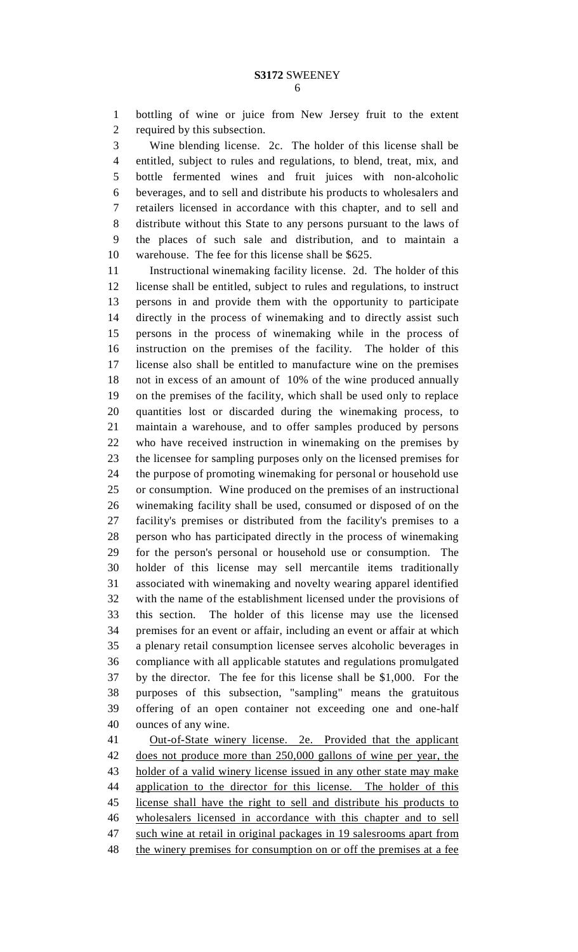1 bottling of wine or juice from New Jersey fruit to the extent 2 required by this subsection.

3 Wine blending license. 2c. The holder of this license shall be 4 entitled, subject to rules and regulations, to blend, treat, mix, and 5 bottle fermented wines and fruit juices with non-alcoholic 6 beverages, and to sell and distribute his products to wholesalers and 7 retailers licensed in accordance with this chapter, and to sell and 8 distribute without this State to any persons pursuant to the laws of 9 the places of such sale and distribution, and to maintain a 10 warehouse. The fee for this license shall be \$625.

11 Instructional winemaking facility license. 2d. The holder of this 12 license shall be entitled, subject to rules and regulations, to instruct 13 persons in and provide them with the opportunity to participate 14 directly in the process of winemaking and to directly assist such 15 persons in the process of winemaking while in the process of 16 instruction on the premises of the facility. The holder of this 17 license also shall be entitled to manufacture wine on the premises 18 not in excess of an amount of 10% of the wine produced annually 19 on the premises of the facility, which shall be used only to replace 20 quantities lost or discarded during the winemaking process, to 21 maintain a warehouse, and to offer samples produced by persons 22 who have received instruction in winemaking on the premises by 23 the licensee for sampling purposes only on the licensed premises for 24 the purpose of promoting winemaking for personal or household use 25 or consumption. Wine produced on the premises of an instructional 26 winemaking facility shall be used, consumed or disposed of on the 27 facility's premises or distributed from the facility's premises to a 28 person who has participated directly in the process of winemaking 29 for the person's personal or household use or consumption. The 30 holder of this license may sell mercantile items traditionally 31 associated with winemaking and novelty wearing apparel identified 32 with the name of the establishment licensed under the provisions of 33 this section. The holder of this license may use the licensed 34 premises for an event or affair, including an event or affair at which 35 a plenary retail consumption licensee serves alcoholic beverages in 36 compliance with all applicable statutes and regulations promulgated 37 by the director. The fee for this license shall be \$1,000. For the 38 purposes of this subsection, "sampling" means the gratuitous 39 offering of an open container not exceeding one and one-half 40 ounces of any wine.

41 Out-of-State winery license. 2e. Provided that the applicant 42 does not produce more than 250,000 gallons of wine per year, the 43 holder of a valid winery license issued in any other state may make 44 application to the director for this license. The holder of this 45 license shall have the right to sell and distribute his products to 46 wholesalers licensed in accordance with this chapter and to sell 47 such wine at retail in original packages in 19 salesrooms apart from 48 the winery premises for consumption on or off the premises at a fee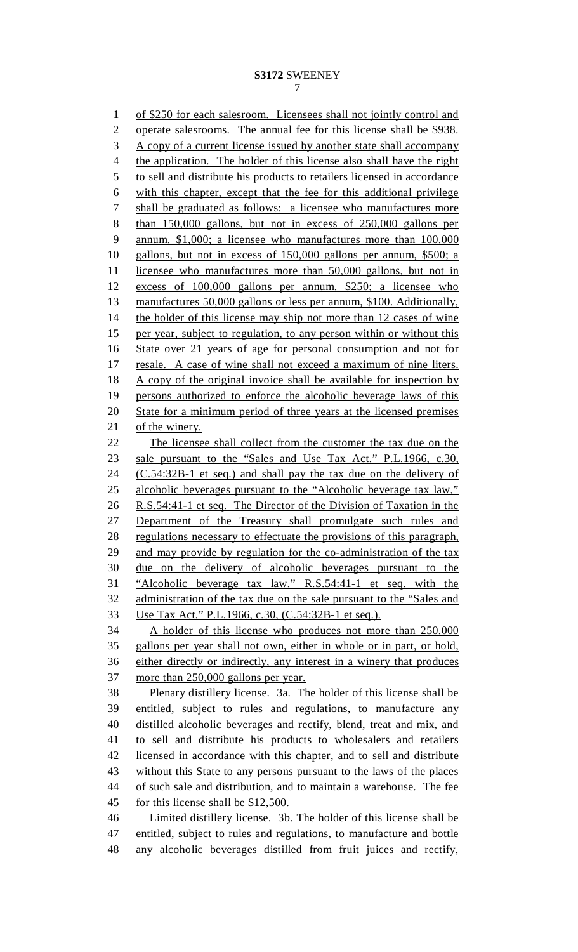#### **S3172** SWEENEY 7

1 of \$250 for each salesroom. Licensees shall not jointly control and 2 operate salesrooms. The annual fee for this license shall be \$938. 3 A copy of a current license issued by another state shall accompany 4 the application. The holder of this license also shall have the right 5 to sell and distribute his products to retailers licensed in accordance 6 with this chapter, except that the fee for this additional privilege 7 shall be graduated as follows: a licensee who manufactures more 8 than 150,000 gallons, but not in excess of 250,000 gallons per 9 annum, \$1,000; a licensee who manufactures more than 100,000 10 gallons, but not in excess of 150,000 gallons per annum, \$500; a 11 licensee who manufactures more than 50,000 gallons, but not in 12 excess of 100,000 gallons per annum, \$250; a licensee who 13 manufactures 50,000 gallons or less per annum, \$100. Additionally, 14 the holder of this license may ship not more than 12 cases of wine 15 per year, subject to regulation, to any person within or without this 16 State over 21 years of age for personal consumption and not for 17 resale. A case of wine shall not exceed a maximum of nine liters. 18 A copy of the original invoice shall be available for inspection by 19 persons authorized to enforce the alcoholic beverage laws of this 20 State for a minimum period of three years at the licensed premises 21 of the winery. 22 The licensee shall collect from the customer the tax due on the 23 sale pursuant to the "Sales and Use Tax Act," P.L.1966, c.30, 24 (C.54:32B-1 et seq.) and shall pay the tax due on the delivery of 25 alcoholic beverages pursuant to the "Alcoholic beverage tax law," 26 R.S.54:41-1 et seq. The Director of the Division of Taxation in the 27 Department of the Treasury shall promulgate such rules and 28 regulations necessary to effectuate the provisions of this paragraph, 29 and may provide by regulation for the co-administration of the tax 30 due on the delivery of alcoholic beverages pursuant to the 31 "Alcoholic beverage tax law," R.S.54:41-1 et seq. with the 32 administration of the tax due on the sale pursuant to the "Sales and 33 Use Tax Act," P.L.1966, c.30, (C.54:32B-1 et seq.).<br>34 A holder of this license who produces not more than 250,000 35 gallons per year shall not own, either in whole or in part, or hold, 36 either directly or indirectly, any interest in a winery that produces 37 more than 250,000 gallons per year. 38 Plenary distillery license. 3a. The holder of this license shall be 39 entitled, subject to rules and regulations, to manufacture any 40 distilled alcoholic beverages and rectify, blend, treat and mix, and 41 to sell and distribute his products to wholesalers and retailers 42 licensed in accordance with this chapter, and to sell and distribute

43 without this State to any persons pursuant to the laws of the places 44 of such sale and distribution, and to maintain a warehouse. The fee 45 for this license shall be \$12,500.

46 Limited distillery license. 3b. The holder of this license shall be 47 entitled, subject to rules and regulations, to manufacture and bottle 48 any alcoholic beverages distilled from fruit juices and rectify,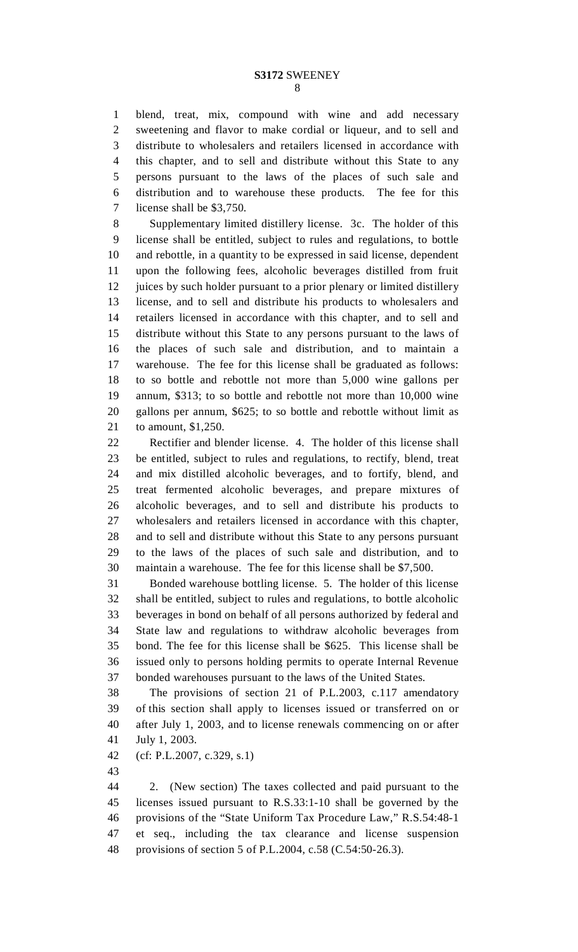1 blend, treat, mix, compound with wine and add necessary 2 sweetening and flavor to make cordial or liqueur, and to sell and 3 distribute to wholesalers and retailers licensed in accordance with 4 this chapter, and to sell and distribute without this State to any 5 persons pursuant to the laws of the places of such sale and 6 distribution and to warehouse these products. The fee for this 7 license shall be \$3,750.

8 Supplementary limited distillery license. 3c. The holder of this 9 license shall be entitled, subject to rules and regulations, to bottle 10 and rebottle, in a quantity to be expressed in said license, dependent 11 upon the following fees, alcoholic beverages distilled from fruit 12 juices by such holder pursuant to a prior plenary or limited distillery 13 license, and to sell and distribute his products to wholesalers and 14 retailers licensed in accordance with this chapter, and to sell and 15 distribute without this State to any persons pursuant to the laws of 16 the places of such sale and distribution, and to maintain a 17 warehouse. The fee for this license shall be graduated as follows: 18 to so bottle and rebottle not more than 5,000 wine gallons per 19 annum, \$313; to so bottle and rebottle not more than 10,000 wine 20 gallons per annum, \$625; to so bottle and rebottle without limit as 21 to amount, \$1,250.

22 Rectifier and blender license. 4. The holder of this license shall 23 be entitled, subject to rules and regulations, to rectify, blend, treat 24 and mix distilled alcoholic beverages, and to fortify, blend, and 25 treat fermented alcoholic beverages, and prepare mixtures of 26 alcoholic beverages, and to sell and distribute his products to 27 wholesalers and retailers licensed in accordance with this chapter, 28 and to sell and distribute without this State to any persons pursuant 29 to the laws of the places of such sale and distribution, and to 30 maintain a warehouse. The fee for this license shall be \$7,500.

31 Bonded warehouse bottling license. 5. The holder of this license 32 shall be entitled, subject to rules and regulations, to bottle alcoholic 33 beverages in bond on behalf of all persons authorized by federal and 34 State law and regulations to withdraw alcoholic beverages from 35 bond. The fee for this license shall be \$625. This license shall be 36 issued only to persons holding permits to operate Internal Revenue 37 bonded warehouses pursuant to the laws of the United States.

38 The provisions of section 21 of P.L.2003, c.117 amendatory 39 of this section shall apply to licenses issued or transferred on or 40 after July 1, 2003, and to license renewals commencing on or after 41 July 1, 2003.

42 (cf: P.L.2007, c.329, s.1)

43

44 2. (New section) The taxes collected and paid pursuant to the 45 licenses issued pursuant to R.S.33:1-10 shall be governed by the 46 provisions of the "State Uniform Tax Procedure Law," R.S.54:48-1 47 et seq., including the tax clearance and license suspension 48 provisions of section 5 of P.L.2004, c.58 (C.54:50-26.3).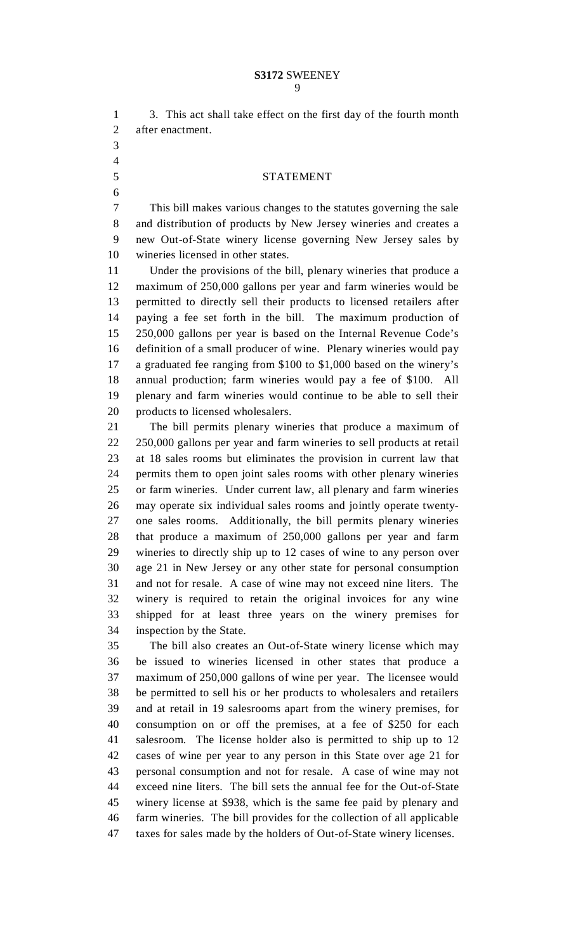| $\mathbf{1}$   | 3. This act shall take effect on the first day of the fourth month    |
|----------------|-----------------------------------------------------------------------|
| $\overline{2}$ | after enactment.                                                      |
| 3              |                                                                       |
| $\overline{4}$ |                                                                       |
| 5              | <b>STATEMENT</b>                                                      |
| 6              |                                                                       |
| 7              | This bill makes various changes to the statutes governing the sale    |
| 8              | and distribution of products by New Jersey wineries and creates a     |
| 9              | new Out-of-State winery license governing New Jersey sales by         |
| 10             | wineries licensed in other states.                                    |
| 11             | Under the provisions of the bill, plenary wineries that produce a     |
| 12             | maximum of 250,000 gallons per year and farm wineries would be        |
| 13             | permitted to directly sell their products to licensed retailers after |
| 14             | paying a fee set forth in the bill. The maximum production of         |
| 15             | 250,000 gallons per year is based on the Internal Revenue Code's      |
| 16             | definition of a small producer of wine. Plenary wineries would pay    |
| 17             | a graduated fee ranging from \$100 to \$1,000 based on the winery's   |
| 18             | annual production; farm wineries would pay a fee of \$100. All        |
| 19             | plenary and farm wineries would continue to be able to sell their     |
| 20             | products to licensed wholesalers.                                     |
| 21             | The bill permits plenary wineries that produce a maximum of           |
| 22             | 250,000 gallons per year and farm wineries to sell products at retail |
| 23             | at 18 sales rooms but eliminates the provision in current law that    |
| 24             | permits them to open joint sales rooms with other plenary wineries    |
| 25             | or farm wineries. Under current law, all plenary and farm wineries    |
| 26             | may operate six individual sales rooms and jointly operate twenty-    |
| 27             | one sales rooms. Additionally, the bill permits plenary wineries      |
| 28             | that produce a maximum of 250,000 gallons per year and farm           |
| 29             | wineries to directly ship up to 12 cases of wine to any person over   |
| 30             | age 21 in New Jersey or any other state for personal consumption      |
| 31             | and not for resale. A case of wine may not exceed nine liters. The    |
| 32             | winery is required to retain the original invoices for any wine       |
| 33             | shipped for at least three years on the winery premises for           |
| 34             | inspection by the State.                                              |
| 35             | The bill also creates an Out-of-State winery license which may        |
| 36             | be issued to wineries licensed in other states that produce a         |
| 37             | maximum of 250,000 gallons of wine per year. The licensee would       |
| 38             | be permitted to sell his or her products to wholesalers and retailers |
| 39             | and at retail in 19 salesrooms apart from the winery premises, for    |
| 40             | consumption on or off the premises, at a fee of \$250 for each        |
| 41             | salesroom. The license holder also is permitted to ship up to 12      |

42 cases of wine per year to any person in this State over age 21 for 43 personal consumption and not for resale. A case of wine may not 44 exceed nine liters. The bill sets the annual fee for the Out-of-State 45 winery license at \$938, which is the same fee paid by plenary and 46 farm wineries. The bill provides for the collection of all applicable

47 taxes for sales made by the holders of Out-of-State winery licenses.